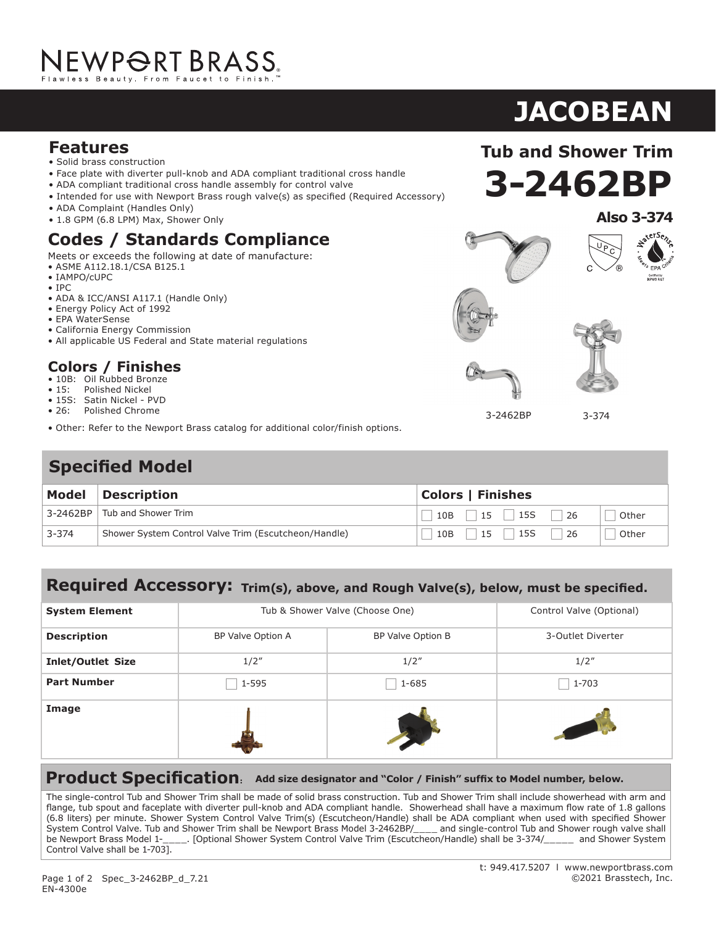#### **Features**

- Solid brass construction
- Face plate with diverter pull-knob and ADA compliant traditional cross handle
- ADA compliant traditional cross handle assembly for control valve
- Intended for use with Newport Brass rough valve(s) as specified (Required Accessory)
- ADA Complaint (Handles Only)
- 1.8 GPM (6.8 LPM) Max, Shower Only

### **Codes / Standards Compliance**

Meets or exceeds the following at date of manufacture:

- ASME A112.18.1/CSA B125.1
- IAMPO/cUPC
- IPC
- ADA & ICC/ANSI A117.1 (Handle Only)
- Energy Policy Act of 1992
- EPA WaterSense
- California Energy Commission
- All applicable US Federal and State material regulations

#### **Colors / Finishes**

- 10B: Oil Rubbed Bronze<br>• 15: Polished Nickel
- Polished Nickel
- 15S: Satin Nickel PVD<br>• 26: Polished Chrome
- 26: Polished Chrome
- Other: Refer to the Newport Brass catalog for additional color/finish options.

#### **Specified Model**

| <b>Model</b> | <b>Description</b>                                   | <b>Colors   Finishes</b>               |  |
|--------------|------------------------------------------------------|----------------------------------------|--|
|              | 3-2462BP Tub and Shower Trim                         | $15$   15S<br>10B<br>Other<br>26       |  |
| $3 - 374$    | Shower System Control Valve Trim (Escutcheon/Handle) | <b>15S</b><br>15<br>26<br>10B<br>Other |  |

#### **Required Accessory: Trim(s), above, and Rough Valve(s), below, must be specified.**

| <b>System Element</b>    | Tub & Shower Valve (Choose One) |                   | Control Valve (Optional) |
|--------------------------|---------------------------------|-------------------|--------------------------|
| <b>Description</b>       | BP Valve Option A               | BP Valve Option B | 3-Outlet Diverter        |
| <b>Inlet/Outlet Size</b> | 1/2''                           | 1/2''             | 1/2''                    |
| <b>Part Number</b>       | 1-595                           | $1 - 685$         | 1-703                    |
| Image                    |                                 |                   |                          |

**Product Specification: Add size designator and "Color / Finish" suffix to Model number, below.**

The single-control Tub and Shower Trim shall be made of solid brass construction. Tub and Shower Trim shall include showerhead with arm and flange, tub spout and faceplate with diverter pull-knob and ADA compliant handle. Showerhead shall have a maximum flow rate of 1.8 gallons (6.8 liters) per minute. Shower System Control Valve Trim(s) (Escutcheon/Handle) shall be ADA compliant when used with specified Shower System Control Valve. Tub and Shower Trim shall be Newport Brass Model 3-2462BP/\_\_\_\_ and single-control Tub and Shower rough valve shall<br>be Newport Brass Model 1-\_\_\_\_. [Optional Shower System Control Valve Trim (Escutcheon 1. [Optional Shower System Control Valve Trim (Escutcheon/Handle) shall be 3-374/\_\_\_\_\_ and Shower System Control Valve shall be 1-703].

# **3-2462BP Tub and Shower Trim**

**JACOBEAN**









3-2462BP

3-374